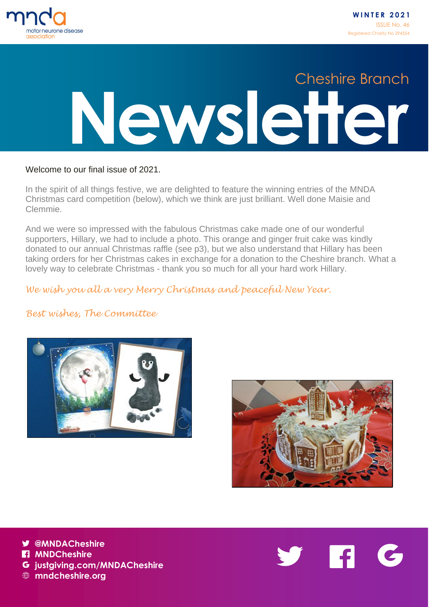

# **Newsletter** Cheshire Branch

#### Welcome to our final issue of 2021.

In the spirit of all things festive, we are delighted to feature the winning entries of the MNDA Christmas card competition (below), which we think are just brilliant. Well done Maisie and Clemmie.

And we were so impressed with the fabulous Christmas cake made one of our wonderful supporters, Hillary, we had to include a photo. This orange and ginger fruit cake was kindly donated to our annual Christmas raffle (see p3), but we also understand that Hillary has been taking orders for her Christmas cakes in exchange for a donation to the Cheshire branch. What a lovely way to celebrate Christmas - thank you so much for all your hard work Hillary.

#### *We wish you all a very Merry Christmas and peaceful New Year.*

#### *Best wishes, The Committee*





**@MNDACheshire H** MNDCheshire



**mndcheshire.org**

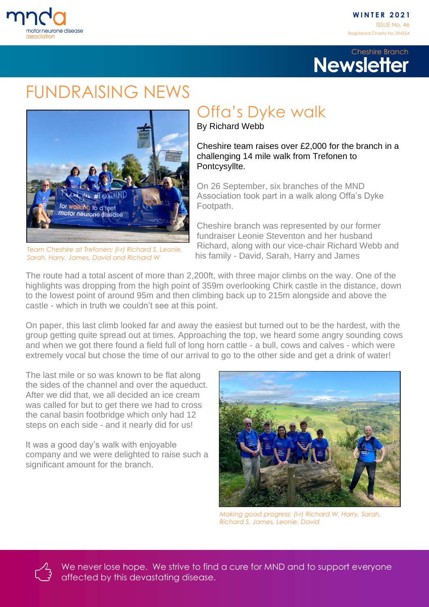

#### **Newsletter** Cheshire Branch

### FUNDRAISING NEWS



*Team Cheshire at Trefonen: (l-r) Richard S, Leonie, Sarah, Harry, James, David and Richard W*

## Offa's Dyke walk

By Richard Webb

Cheshire team raises over £2,000 for the branch in a challenging 14 mile walk from Trefonen to Pontcysyllte.

On 26 September, six branches of the MND Association took part in a walk along Offa's Dyke Footpath.

Cheshire branch was represented by our former fundraiser Leonie Steventon and her husband Richard, along with our vice-chair Richard Webb and his family - David, Sarah, Harry and James

The route had a total ascent of more than 2,200ft, with three major climbs on the way. One of the highlights was dropping from the high point of 359m overlooking Chirk castle in the distance, down to the lowest point of around 95m and then climbing back up to 215m alongside and above the castle - which in truth we couldn't see at this point.

On paper, this last climb looked far and away the easiest but turned out to be the hardest, with the group getting quite spread out at times. Approaching the top, we heard some angry sounding cows and when we got there found a field full of long horn cattle - a bull, cows and calves - which were extremely vocal but chose the time of our arrival to go to the other side and get a drink of water!

The last mile or so was known to be flat along the sides of the channel and over the aqueduct. After we did that, we all decided an ice cream was called for but to get there we had to cross the canal basin footbridge which only had 12 steps on each side - and it nearly did for us!

It was a good day's walk with enjoyable company and we were delighted to raise such a significant amount for the branch.



*Making good progress: (l-r) Richard W, Harry, Sarah, Richard S, James, Leonie, David*

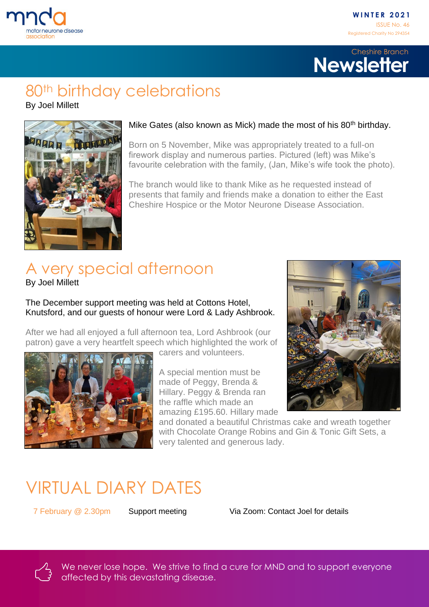

#### **Newsletter** Cheshire Branch

#### 80<sup>th</sup> birthday celebrations

By Joel Millett



#### Mike Gates (also known as Mick) made the most of his 80<sup>th</sup> birthday.

Born on 5 November, Mike was appropriately treated to a full-on firework display and numerous parties. Pictured (left) was Mike's favourite celebration with the family, (Jan, Mike's wife took the photo).

The branch would like to thank Mike as he requested instead of presents that family and friends make a donation to either the East Cheshire Hospice or the Motor Neurone Disease Association.

# A very special afternoon

By Joel Millett

The December support meeting was held at Cottons Hotel, Knutsford, and our guests of honour were Lord & Lady Ashbrook.

After we had all enjoyed a full afternoon tea, Lord Ashbrook (our patron) gave a very heartfelt speech which highlighted the work of



carers and volunteers.

A special mention must be made of Peggy, Brenda & Hillary. Peggy & Brenda ran the raffle which made an amazing £195.60. Hillary made



and donated a beautiful Christmas cake and wreath together with Chocolate Orange Robins and Gin & Tonic Gift Sets, a very talented and generous lady.

## VIRTUAL DIARY DATES

7 February @ 2.30pm Support meeting Via Zoom: Contact Joel for details



We never lose hope. We strive to find a cure for MND and to support everyone affected by this devastating disease.